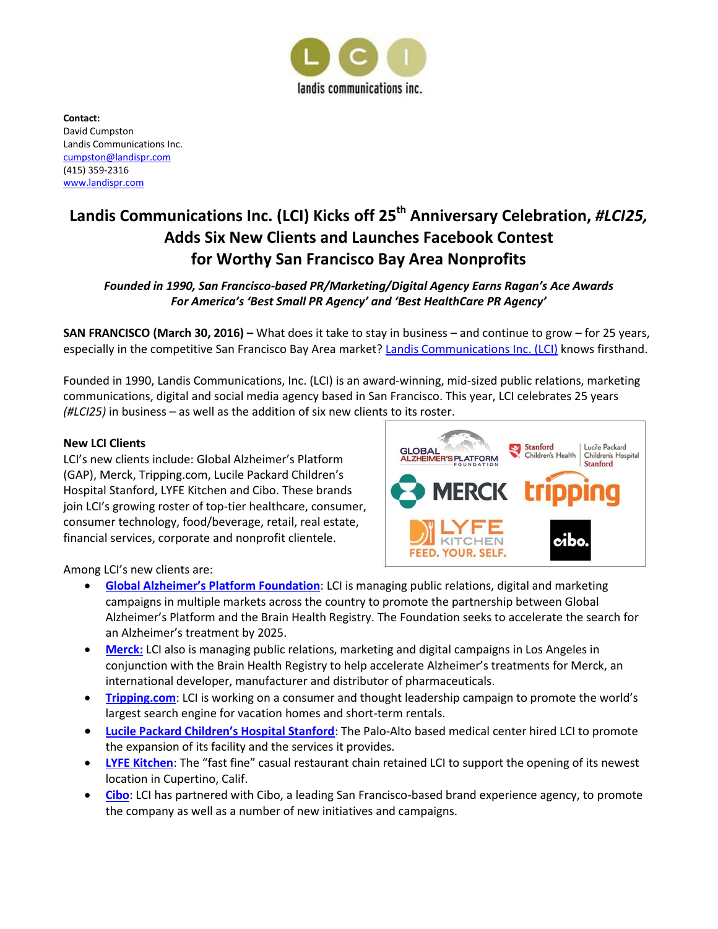

**Contact:** David Cumpston Landis Communications Inc. [cumpston@landispr.com](mailto:cumpston@landispr.com) (415) 359-2316 [www.landispr.com](http://www.landispr.com/)

# **Landis Communications Inc. (LCI) Kicks off 25th Anniversary Celebration,** *#LCI25,* **Adds Six New Clients and Launches Facebook Contest for Worthy San Francisco Bay Area Nonprofits**

## *Founded in 1990, San Francisco-based PR/Marketing/Digital Agency Earns Ragan's Ace Awards For America's 'Best Small PR Agency' and 'Best HealthCare PR Agency'*

**SAN FRANCISCO (March 30, 2016) –** What does it take to stay in business – and continue to grow – for 25 years, especially in the competitive San Francisco Bay Area market? [Landis Communications Inc. \(LCI\)](https://landispr.com/) knows firsthand.

Founded in 1990, Landis Communications, Inc. (LCI) is an award-winning, mid-sized public relations, marketing communications, digital and social media agency based in San Francisco. This year, LCI celebrates 25 years *(#LCI25)* in business – as well as the addition of six new clients to its roster.

## **New LCI Clients**

LCI's new clients include: Global Alzheimer's Platform (GAP), Merck, Tripping.com, Lucile Packard Children's Hospital Stanford, LYFE Kitchen and Cibo. These brands join LCI's growing roster of top-tier healthcare, consumer, consumer technology, food/beverage, retail, real estate, financial services, corporate and nonprofit clientele.



Among LCI's new clients are:

- **[Global Alzheimer's Platform Foundation](http://www.globalalzplatform.org/)**: LCI is managing public relations, digital and marketing campaigns in multiple markets across the country to promote the partnership between Global Alzheimer's Platform and the Brain Health Registry. The Foundation seeks to accelerate the search for an Alzheimer's treatment by 2025.
- **[Merck:](http://www.merck.com/)** LCI also is managing public relations, marketing and digital campaigns in Los Angeles in conjunction with the Brain Health Registry to help accelerate Alzheimer's treatments for Merck, an international developer, manufacturer and distributor of pharmaceuticals.
- **[Tripping.com](http://www.tripping.com/):** LCI is working on a consumer and thought leadership campaign to promote the world's largest search engine for vacation homes and short-term rentals.
- **[Lucile Packard Children's Hospital Stanford](http://www.stanfordchildrens.org/)**: The Palo-Alto based medical center hired LCI to promote the expansion of its facility and the services it provides.
- **[LYFE Kitchen](http://www.lyfekitchen.com/)**: The "fast fine" casual restaurant chain retained LCI to support the opening of its newest location in Cupertino, Calif.
- **[Cibo](http://www.cibosf.com/)**: LCI has partnered with Cibo, a leading San Francisco-based brand experience agency, to promote the company as well as a number of new initiatives and campaigns.